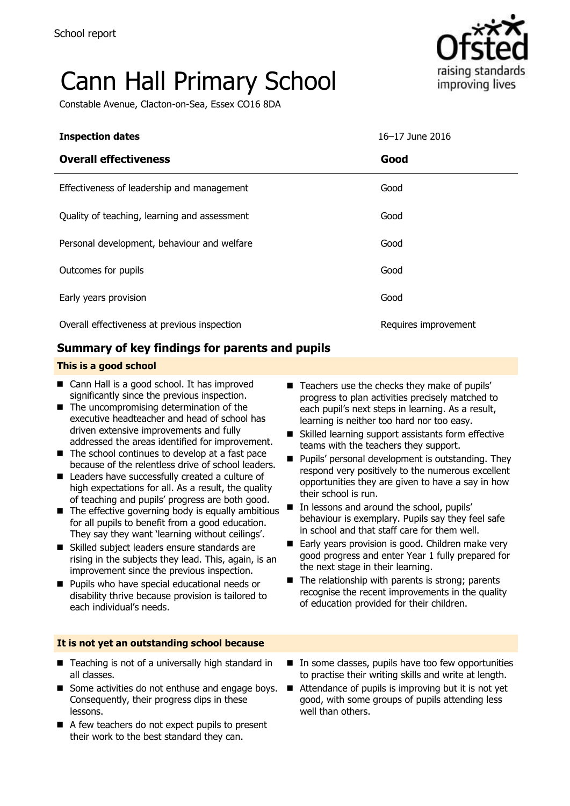# Cann Hall Primary School

Constable Avenue, Clacton-on-Sea, Essex CO16 8DA



| <b>Inspection dates</b>                      | 16-17 June 2016      |
|----------------------------------------------|----------------------|
| <b>Overall effectiveness</b>                 | Good                 |
| Effectiveness of leadership and management   | Good                 |
| Quality of teaching, learning and assessment | Good                 |
| Personal development, behaviour and welfare  | Good                 |
| Outcomes for pupils                          | Good                 |
| Early years provision                        | Good                 |
| Overall effectiveness at previous inspection | Requires improvement |

### **Summary of key findings for parents and pupils**

#### **This is a good school**

- Cann Hall is a good school. It has improved significantly since the previous inspection.
- $\blacksquare$  The uncompromising determination of the executive headteacher and head of school has driven extensive improvements and fully addressed the areas identified for improvement.
- $\blacksquare$  The school continues to develop at a fast pace because of the relentless drive of school leaders.
- Leaders have successfully created a culture of high expectations for all. As a result, the quality of teaching and pupils' progress are both good.
- $\blacksquare$  The effective governing body is equally ambitious for all pupils to benefit from a good education. They say they want 'learning without ceilings'.
- Skilled subject leaders ensure standards are rising in the subjects they lead. This, again, is an improvement since the previous inspection.
- **Pupils who have special educational needs or** disability thrive because provision is tailored to each individual's needs.

#### **It is not yet an outstanding school because**

- Teaching is not of a universally high standard in all classes.
- Some activities do not enthuse and engage boys. Consequently, their progress dips in these lessons.
- A few teachers do not expect pupils to present their work to the best standard they can.
- $\blacksquare$  Teachers use the checks they make of pupils' progress to plan activities precisely matched to each pupil's next steps in learning. As a result, learning is neither too hard nor too easy.
- Skilled learning support assistants form effective teams with the teachers they support.
- **Pupils' personal development is outstanding. They** respond very positively to the numerous excellent opportunities they are given to have a say in how their school is run.
- In lessons and around the school, pupils' behaviour is exemplary. Pupils say they feel safe in school and that staff care for them well.
- Early years provision is good. Children make very good progress and enter Year 1 fully prepared for the next stage in their learning.
- $\blacksquare$  The relationship with parents is strong; parents recognise the recent improvements in the quality of education provided for their children.
- In some classes, pupils have too few opportunities to practise their writing skills and write at length.
- Attendance of pupils is improving but it is not yet good, with some groups of pupils attending less well than others.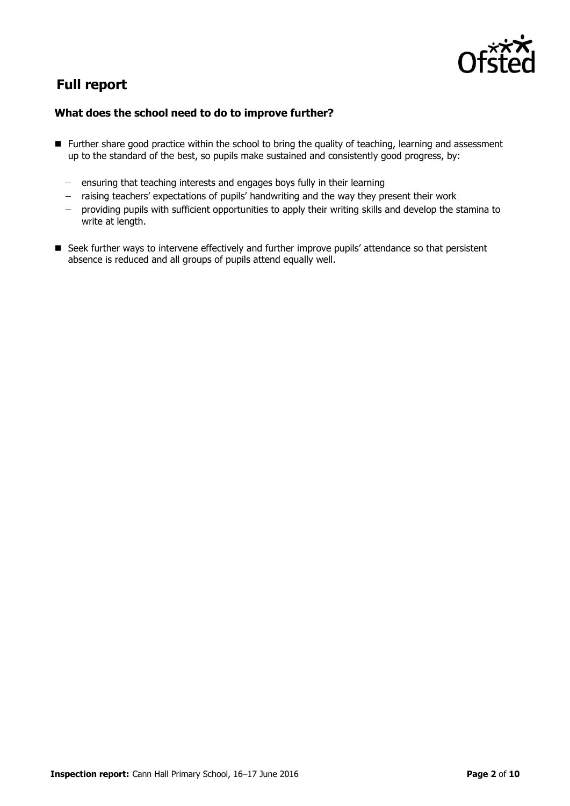

## **Full report**

#### **What does the school need to do to improve further?**

- **Further share good practice within the school to bring the quality of teaching, learning and assessment** up to the standard of the best, so pupils make sustained and consistently good progress, by:
	- ensuring that teaching interests and engages boys fully in their learning
	- raising teachers' expectations of pupils' handwriting and the way they present their work
	- providing pupils with sufficient opportunities to apply their writing skills and develop the stamina to write at length.
- Seek further ways to intervene effectively and further improve pupils' attendance so that persistent absence is reduced and all groups of pupils attend equally well.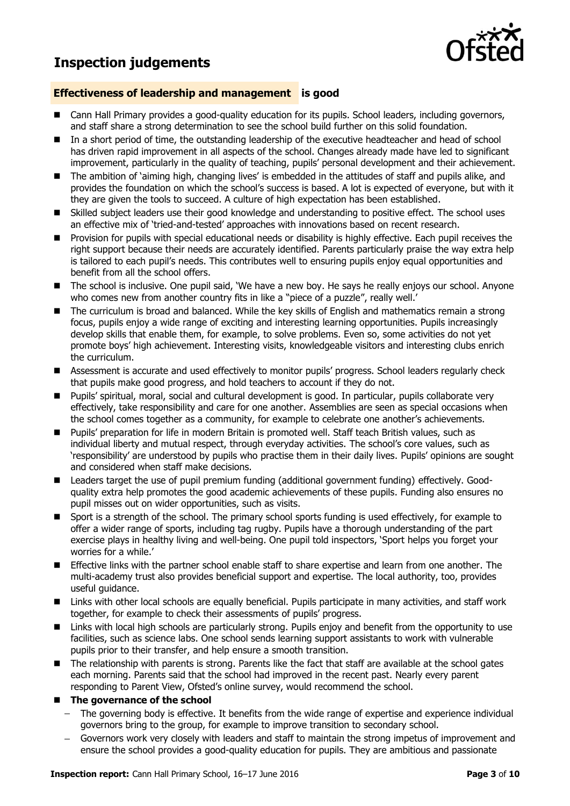**Inspection judgements**



#### **Effectiveness of leadership and management is good**

- Cann Hall Primary provides a good-quality education for its pupils. School leaders, including governors, and staff share a strong determination to see the school build further on this solid foundation.
- In a short period of time, the outstanding leadership of the executive headteacher and head of school has driven rapid improvement in all aspects of the school. Changes already made have led to significant improvement, particularly in the quality of teaching, pupils" personal development and their achievement.
- The ambition of 'aiming high, changing lives' is embedded in the attitudes of staff and pupils alike, and provides the foundation on which the school"s success is based. A lot is expected of everyone, but with it they are given the tools to succeed. A culture of high expectation has been established.
- Skilled subject leaders use their good knowledge and understanding to positive effect. The school uses an effective mix of "tried-and-tested" approaches with innovations based on recent research.
- **Provision for pupils with special educational needs or disability is highly effective. Each pupil receives the** right support because their needs are accurately identified. Parents particularly praise the way extra help is tailored to each pupil"s needs. This contributes well to ensuring pupils enjoy equal opportunities and benefit from all the school offers.
- The school is inclusive. One pupil said, 'We have a new boy. He says he really enjoys our school. Anyone who comes new from another country fits in like a "piece of a puzzle", really well.
- The curriculum is broad and balanced. While the key skills of English and mathematics remain a strong focus, pupils enjoy a wide range of exciting and interesting learning opportunities. Pupils increasingly develop skills that enable them, for example, to solve problems. Even so, some activities do not yet promote boys" high achievement. Interesting visits, knowledgeable visitors and interesting clubs enrich the curriculum.
- Assessment is accurate and used effectively to monitor pupils" progress. School leaders regularly check that pupils make good progress, and hold teachers to account if they do not.
- Pupils" spiritual, moral, social and cultural development is good. In particular, pupils collaborate very effectively, take responsibility and care for one another. Assemblies are seen as special occasions when the school comes together as a community, for example to celebrate one another"s achievements.
- **Pupils'** preparation for life in modern Britain is promoted well. Staff teach British values, such as individual liberty and mutual respect, through everyday activities. The school's core values, such as "responsibility" are understood by pupils who practise them in their daily lives. Pupils" opinions are sought and considered when staff make decisions.
- Leaders target the use of pupil premium funding (additional government funding) effectively. Goodquality extra help promotes the good academic achievements of these pupils. Funding also ensures no pupil misses out on wider opportunities, such as visits.
- Sport is a strength of the school. The primary school sports funding is used effectively, for example to offer a wider range of sports, including tag rugby. Pupils have a thorough understanding of the part exercise plays in healthy living and well-being. One pupil told inspectors, "Sport helps you forget your worries for a while."
- Effective links with the partner school enable staff to share expertise and learn from one another. The multi-academy trust also provides beneficial support and expertise. The local authority, too, provides useful guidance.
- Links with other local schools are equally beneficial. Pupils participate in many activities, and staff work together, for example to check their assessments of pupils" progress.
- Links with local high schools are particularly strong. Pupils enjoy and benefit from the opportunity to use facilities, such as science labs. One school sends learning support assistants to work with vulnerable pupils prior to their transfer, and help ensure a smooth transition.
- The relationship with parents is strong. Parents like the fact that staff are available at the school gates each morning. Parents said that the school had improved in the recent past. Nearly every parent responding to Parent View, Ofsted"s online survey, would recommend the school.
- **The governance of the school** 
	- The governing body is effective. It benefits from the wide range of expertise and experience individual governors bring to the group, for example to improve transition to secondary school.
	- Governors work very closely with leaders and staff to maintain the strong impetus of improvement and ensure the school provides a good-quality education for pupils. They are ambitious and passionate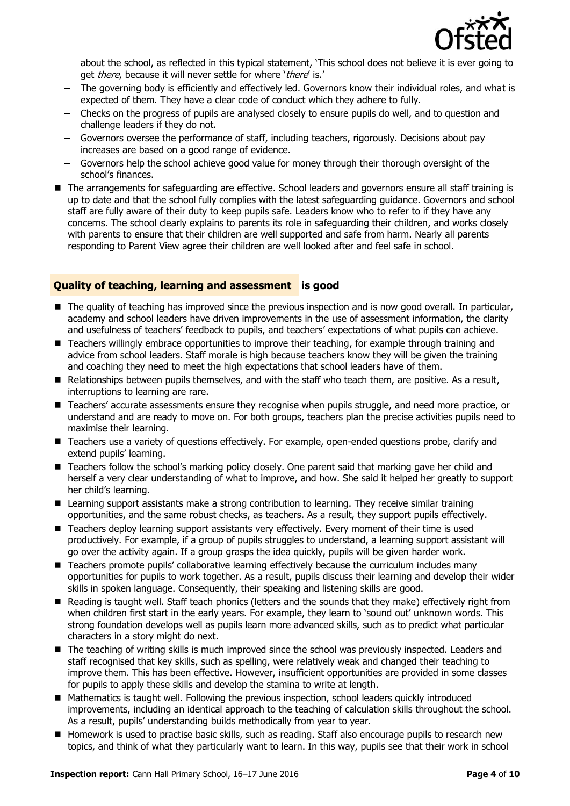

about the school, as reflected in this typical statement, "This school does not believe it is ever going to get *there*, because it will never settle for where 'there' is.'

- The governing body is efficiently and effectively led. Governors know their individual roles, and what is expected of them. They have a clear code of conduct which they adhere to fully.
- Checks on the progress of pupils are analysed closely to ensure pupils do well, and to question and challenge leaders if they do not.
- Governors oversee the performance of staff, including teachers, rigorously. Decisions about pay increases are based on a good range of evidence.
- Governors help the school achieve good value for money through their thorough oversight of the  $\equiv$ school"s finances.
- The arrangements for safeguarding are effective. School leaders and governors ensure all staff training is up to date and that the school fully complies with the latest safeguarding guidance. Governors and school staff are fully aware of their duty to keep pupils safe. Leaders know who to refer to if they have any concerns. The school clearly explains to parents its role in safeguarding their children, and works closely with parents to ensure that their children are well supported and safe from harm. Nearly all parents responding to Parent View agree their children are well looked after and feel safe in school.

#### **Quality of teaching, learning and assessment is good**

- The quality of teaching has improved since the previous inspection and is now good overall. In particular, academy and school leaders have driven improvements in the use of assessment information, the clarity and usefulness of teachers' feedback to pupils, and teachers' expectations of what pupils can achieve.
- Teachers willingly embrace opportunities to improve their teaching, for example through training and advice from school leaders. Staff morale is high because teachers know they will be given the training and coaching they need to meet the high expectations that school leaders have of them.
- Relationships between pupils themselves, and with the staff who teach them, are positive. As a result, interruptions to learning are rare.
- Teachers' accurate assessments ensure they recognise when pupils struggle, and need more practice, or understand and are ready to move on. For both groups, teachers plan the precise activities pupils need to maximise their learning.
- Teachers use a variety of questions effectively. For example, open-ended questions probe, clarify and extend pupils' learning.
- Teachers follow the school's marking policy closely. One parent said that marking gave her child and herself a very clear understanding of what to improve, and how. She said it helped her greatly to support her child"s learning.
- Learning support assistants make a strong contribution to learning. They receive similar training opportunities, and the same robust checks, as teachers. As a result, they support pupils effectively.
- Teachers deploy learning support assistants very effectively. Every moment of their time is used productively. For example, if a group of pupils struggles to understand, a learning support assistant will go over the activity again. If a group grasps the idea quickly, pupils will be given harder work.
- **T** Teachers promote pupils' collaborative learning effectively because the curriculum includes many opportunities for pupils to work together. As a result, pupils discuss their learning and develop their wider skills in spoken language. Consequently, their speaking and listening skills are good.
- Reading is taught well. Staff teach phonics (letters and the sounds that they make) effectively right from when children first start in the early years. For example, they learn to "sound out" unknown words. This strong foundation develops well as pupils learn more advanced skills, such as to predict what particular characters in a story might do next.
- The teaching of writing skills is much improved since the school was previously inspected. Leaders and staff recognised that key skills, such as spelling, were relatively weak and changed their teaching to improve them. This has been effective. However, insufficient opportunities are provided in some classes for pupils to apply these skills and develop the stamina to write at length.
- Mathematics is taught well. Following the previous inspection, school leaders quickly introduced improvements, including an identical approach to the teaching of calculation skills throughout the school. As a result, pupils' understanding builds methodically from year to year.
- Homework is used to practise basic skills, such as reading. Staff also encourage pupils to research new topics, and think of what they particularly want to learn. In this way, pupils see that their work in school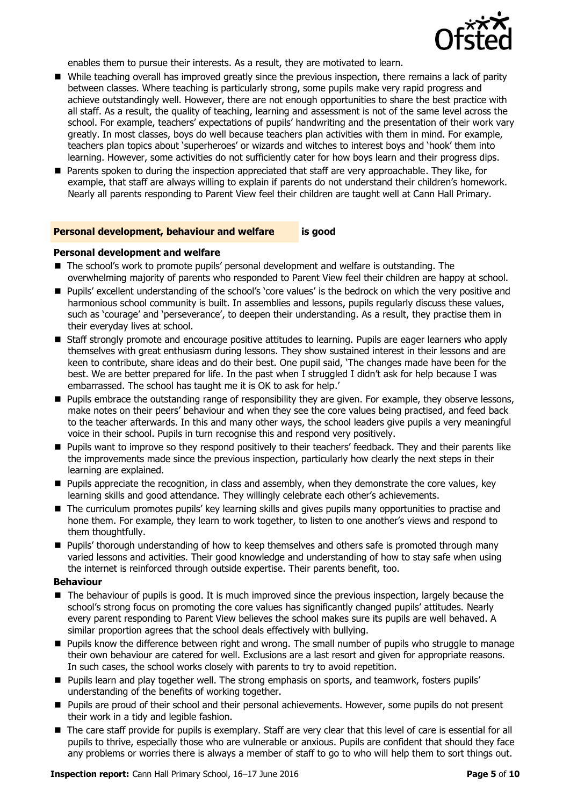

enables them to pursue their interests. As a result, they are motivated to learn.

- While teaching overall has improved greatly since the previous inspection, there remains a lack of parity between classes. Where teaching is particularly strong, some pupils make very rapid progress and achieve outstandingly well. However, there are not enough opportunities to share the best practice with all staff. As a result, the quality of teaching, learning and assessment is not of the same level across the school. For example, teachers' expectations of pupils' handwriting and the presentation of their work vary greatly. In most classes, boys do well because teachers plan activities with them in mind. For example, teachers plan topics about "superheroes" or wizards and witches to interest boys and "hook" them into learning. However, some activities do not sufficiently cater for how boys learn and their progress dips.
- Parents spoken to during the inspection appreciated that staff are very approachable. They like, for example, that staff are always willing to explain if parents do not understand their children's homework. Nearly all parents responding to Parent View feel their children are taught well at Cann Hall Primary.

#### **Personal development, behaviour and welfare is good**

#### **Personal development and welfare**

- The school's work to promote pupils' personal development and welfare is outstanding. The overwhelming majority of parents who responded to Parent View feel their children are happy at school.
- **Pupils'** excellent understanding of the school's 'core values' is the bedrock on which the very positive and harmonious school community is built. In assemblies and lessons, pupils regularly discuss these values, such as 'courage' and 'perseverance', to deepen their understanding. As a result, they practise them in their everyday lives at school.
- Staff strongly promote and encourage positive attitudes to learning. Pupils are eager learners who apply themselves with great enthusiasm during lessons. They show sustained interest in their lessons and are keen to contribute, share ideas and do their best. One pupil said, "The changes made have been for the best. We are better prepared for life. In the past when I struggled I didn't ask for help because I was embarrassed. The school has taught me it is OK to ask for help."
- **Pupils embrace the outstanding range of responsibility they are given. For example, they observe lessons,** make notes on their peers" behaviour and when they see the core values being practised, and feed back to the teacher afterwards. In this and many other ways, the school leaders give pupils a very meaningful voice in their school. Pupils in turn recognise this and respond very positively.
- **Pupils want to improve so they respond positively to their teachers' feedback. They and their parents like** the improvements made since the previous inspection, particularly how clearly the next steps in their learning are explained.
- **Pupils appreciate the recognition, in class and assembly, when they demonstrate the core values, key** learning skills and good attendance. They willingly celebrate each other's achievements.
- The curriculum promotes pupils' key learning skills and gives pupils many opportunities to practise and hone them. For example, they learn to work together, to listen to one another"s views and respond to them thoughtfully.
- **Pupils' thorough understanding of how to keep themselves and others safe is promoted through many** varied lessons and activities. Their good knowledge and understanding of how to stay safe when using the internet is reinforced through outside expertise. Their parents benefit, too.

#### **Behaviour**

- The behaviour of pupils is good. It is much improved since the previous inspection, largely because the school"s strong focus on promoting the core values has significantly changed pupils" attitudes. Nearly every parent responding to Parent View believes the school makes sure its pupils are well behaved. A similar proportion agrees that the school deals effectively with bullying.
- Pupils know the difference between right and wrong. The small number of pupils who struggle to manage their own behaviour are catered for well. Exclusions are a last resort and given for appropriate reasons. In such cases, the school works closely with parents to try to avoid repetition.
- **Pupils learn and play together well. The strong emphasis on sports, and teamwork, fosters pupils'** understanding of the benefits of working together.
- **Pupils are proud of their school and their personal achievements. However, some pupils do not present** their work in a tidy and legible fashion.
- The care staff provide for pupils is exemplary. Staff are very clear that this level of care is essential for all pupils to thrive, especially those who are vulnerable or anxious. Pupils are confident that should they face any problems or worries there is always a member of staff to go to who will help them to sort things out.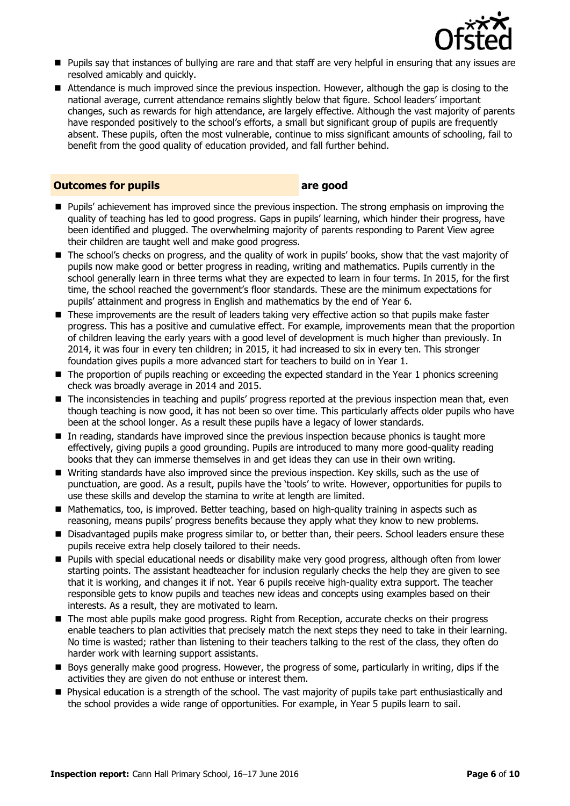

- Pupils say that instances of bullying are rare and that staff are very helpful in ensuring that any issues are resolved amicably and quickly.
- Attendance is much improved since the previous inspection. However, although the gap is closing to the national average, current attendance remains slightly below that figure. School leaders" important changes, such as rewards for high attendance, are largely effective. Although the vast majority of parents have responded positively to the school"s efforts, a small but significant group of pupils are frequently absent. These pupils, often the most vulnerable, continue to miss significant amounts of schooling, fail to benefit from the good quality of education provided, and fall further behind.

#### **Outcomes for pupils are good**

- **Pupils'** achievement has improved since the previous inspection. The strong emphasis on improving the quality of teaching has led to good progress. Gaps in pupils' learning, which hinder their progress, have been identified and plugged. The overwhelming majority of parents responding to Parent View agree their children are taught well and make good progress.
- The school's checks on progress, and the quality of work in pupils' books, show that the vast majority of pupils now make good or better progress in reading, writing and mathematics. Pupils currently in the school generally learn in three terms what they are expected to learn in four terms. In 2015, for the first time, the school reached the government"s floor standards. These are the minimum expectations for pupils" attainment and progress in English and mathematics by the end of Year 6.
- These improvements are the result of leaders taking very effective action so that pupils make faster progress. This has a positive and cumulative effect. For example, improvements mean that the proportion of children leaving the early years with a good level of development is much higher than previously. In 2014, it was four in every ten children; in 2015, it had increased to six in every ten. This stronger foundation gives pupils a more advanced start for teachers to build on in Year 1.
- The proportion of pupils reaching or exceeding the expected standard in the Year 1 phonics screening check was broadly average in 2014 and 2015.
- $\blacksquare$  The inconsistencies in teaching and pupils' progress reported at the previous inspection mean that, even though teaching is now good, it has not been so over time. This particularly affects older pupils who have been at the school longer. As a result these pupils have a legacy of lower standards.
- $\blacksquare$  In reading, standards have improved since the previous inspection because phonics is taught more effectively, giving pupils a good grounding. Pupils are introduced to many more good-quality reading books that they can immerse themselves in and get ideas they can use in their own writing.
- Writing standards have also improved since the previous inspection. Key skills, such as the use of punctuation, are good. As a result, pupils have the "tools" to write. However, opportunities for pupils to use these skills and develop the stamina to write at length are limited.
- Mathematics, too, is improved. Better teaching, based on high-quality training in aspects such as reasoning, means pupils" progress benefits because they apply what they know to new problems.
- **Disadvantaged pupils make progress similar to, or better than, their peers. School leaders ensure these** pupils receive extra help closely tailored to their needs.
- **Pupils with special educational needs or disability make very good progress, although often from lower** starting points. The assistant headteacher for inclusion regularly checks the help they are given to see that it is working, and changes it if not. Year 6 pupils receive high-quality extra support. The teacher responsible gets to know pupils and teaches new ideas and concepts using examples based on their interests. As a result, they are motivated to learn.
- The most able pupils make good progress. Right from Reception, accurate checks on their progress enable teachers to plan activities that precisely match the next steps they need to take in their learning. No time is wasted; rather than listening to their teachers talking to the rest of the class, they often do harder work with learning support assistants.
- Bovs generally make good progress. However, the progress of some, particularly in writing, dips if the activities they are given do not enthuse or interest them.
- Physical education is a strength of the school. The vast majority of pupils take part enthusiastically and the school provides a wide range of opportunities. For example, in Year 5 pupils learn to sail.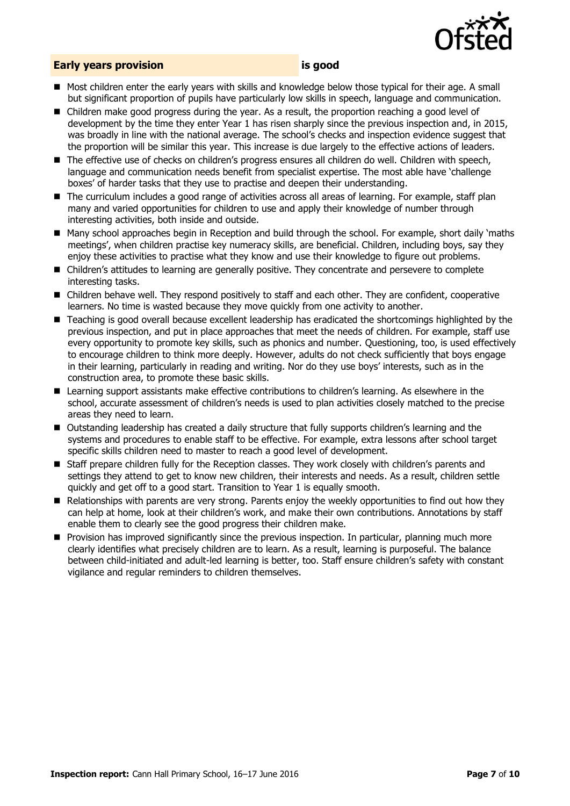

#### **Early years provision is good**

- Most children enter the early years with skills and knowledge below those typical for their age. A small but significant proportion of pupils have particularly low skills in speech, language and communication.
- Children make good progress during the year. As a result, the proportion reaching a good level of development by the time they enter Year 1 has risen sharply since the previous inspection and, in 2015, was broadly in line with the national average. The school"s checks and inspection evidence suggest that the proportion will be similar this year. This increase is due largely to the effective actions of leaders.
- The effective use of checks on children's progress ensures all children do well. Children with speech, language and communication needs benefit from specialist expertise. The most able have "challenge boxes" of harder tasks that they use to practise and deepen their understanding.
- The curriculum includes a good range of activities across all areas of learning. For example, staff plan many and varied opportunities for children to use and apply their knowledge of number through interesting activities, both inside and outside.
- Many school approaches begin in Reception and build through the school. For example, short daily "maths meetings", when children practise key numeracy skills, are beneficial. Children, including boys, say they enjoy these activities to practise what they know and use their knowledge to figure out problems.
- Children"s attitudes to learning are generally positive. They concentrate and persevere to complete interesting tasks.
- Children behave well. They respond positively to staff and each other. They are confident, cooperative learners. No time is wasted because they move quickly from one activity to another.
- Teaching is good overall because excellent leadership has eradicated the shortcomings highlighted by the previous inspection, and put in place approaches that meet the needs of children. For example, staff use every opportunity to promote key skills, such as phonics and number. Questioning, too, is used effectively to encourage children to think more deeply. However, adults do not check sufficiently that boys engage in their learning, particularly in reading and writing. Nor do they use boys' interests, such as in the construction area, to promote these basic skills.
- Learning support assistants make effective contributions to children's learning. As elsewhere in the school, accurate assessment of children"s needs is used to plan activities closely matched to the precise areas they need to learn.
- Outstanding leadership has created a daily structure that fully supports children"s learning and the systems and procedures to enable staff to be effective. For example, extra lessons after school target specific skills children need to master to reach a good level of development.
- **Staff prepare children fully for the Reception classes. They work closely with children's parents and** settings they attend to get to know new children, their interests and needs. As a result, children settle quickly and get off to a good start. Transition to Year 1 is equally smooth.
- Relationships with parents are very strong. Parents enjoy the weekly opportunities to find out how they can help at home, look at their children"s work, and make their own contributions. Annotations by staff enable them to clearly see the good progress their children make.
- **Provision has improved significantly since the previous inspection. In particular, planning much more** clearly identifies what precisely children are to learn. As a result, learning is purposeful. The balance between child-initiated and adult-led learning is better, too. Staff ensure children"s safety with constant vigilance and regular reminders to children themselves.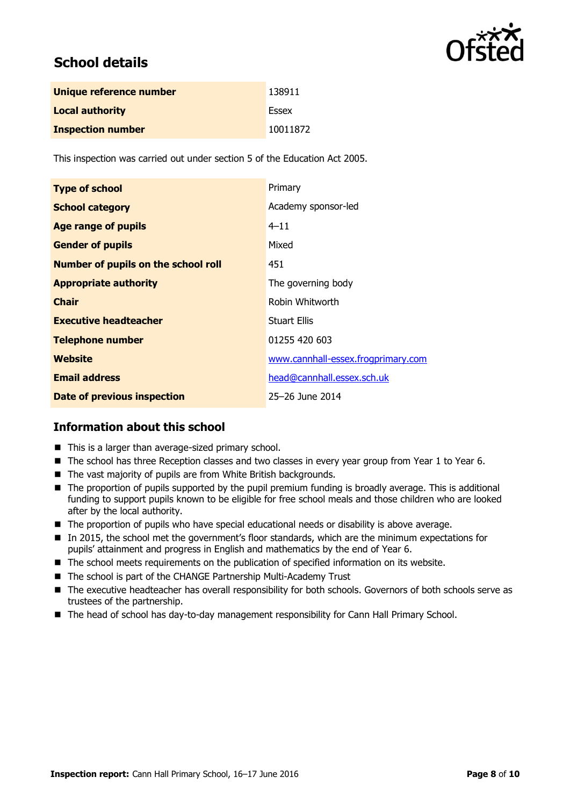

## **School details**

| Unique reference number  | 138911   |
|--------------------------|----------|
| <b>Local authority</b>   | Essex    |
| <b>Inspection number</b> | 10011872 |

This inspection was carried out under section 5 of the Education Act 2005.

| <b>Type of school</b>                      | Primary                            |
|--------------------------------------------|------------------------------------|
| <b>School category</b>                     | Academy sponsor-led                |
| <b>Age range of pupils</b>                 | $4 - 11$                           |
| <b>Gender of pupils</b>                    | Mixed                              |
| <b>Number of pupils on the school roll</b> | 451                                |
| <b>Appropriate authority</b>               | The governing body                 |
| <b>Chair</b>                               | Robin Whitworth                    |
| <b>Executive headteacher</b>               | <b>Stuart Ellis</b>                |
| <b>Telephone number</b>                    | 01255 420 603                      |
| <b>Website</b>                             | www.cannhall-essex.frogprimary.com |
| <b>Email address</b>                       | head@cannhall.essex.sch.uk         |
| Date of previous inspection                | 25-26 June 2014                    |

### **Information about this school**

- This is a larger than average-sized primary school.
- The school has three Reception classes and two classes in every year group from Year 1 to Year 6.
- The vast majority of pupils are from White British backgrounds.
- The proportion of pupils supported by the pupil premium funding is broadly average. This is additional funding to support pupils known to be eligible for free school meals and those children who are looked after by the local authority.
- The proportion of pupils who have special educational needs or disability is above average.
- In 2015, the school met the government's floor standards, which are the minimum expectations for pupils" attainment and progress in English and mathematics by the end of Year 6.
- $\blacksquare$  The school meets requirements on the publication of specified information on its website.
- The school is part of the CHANGE Partnership Multi-Academy Trust
- The executive headteacher has overall responsibility for both schools. Governors of both schools serve as trustees of the partnership.
- The head of school has day-to-day management responsibility for Cann Hall Primary School.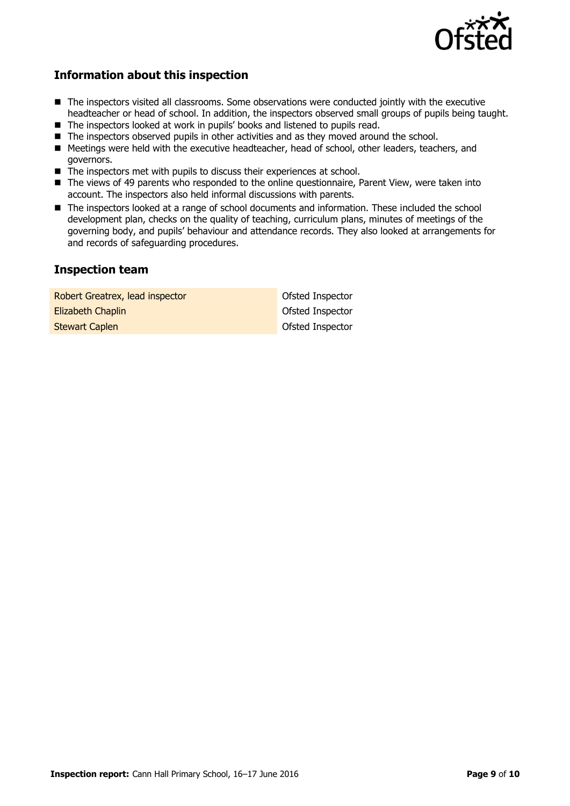

### **Information about this inspection**

- The inspectors visited all classrooms. Some observations were conducted jointly with the executive headteacher or head of school. In addition, the inspectors observed small groups of pupils being taught.
- The inspectors looked at work in pupils' books and listened to pupils read.
- The inspectors observed pupils in other activities and as they moved around the school.
- Meetings were held with the executive headteacher, head of school, other leaders, teachers, and governors.
- The inspectors met with pupils to discuss their experiences at school.
- The views of 49 parents who responded to the online questionnaire, Parent View, were taken into account. The inspectors also held informal discussions with parents.
- The inspectors looked at a range of school documents and information. These included the school development plan, checks on the quality of teaching, curriculum plans, minutes of meetings of the governing body, and pupils" behaviour and attendance records. They also looked at arrangements for and records of safeguarding procedures.

### **Inspection team**

| Robert Greatrex, lead inspector | Ofsted Inspector |
|---------------------------------|------------------|
| Elizabeth Chaplin               | Ofsted Inspector |
| <b>Stewart Caplen</b>           | Ofsted Inspector |